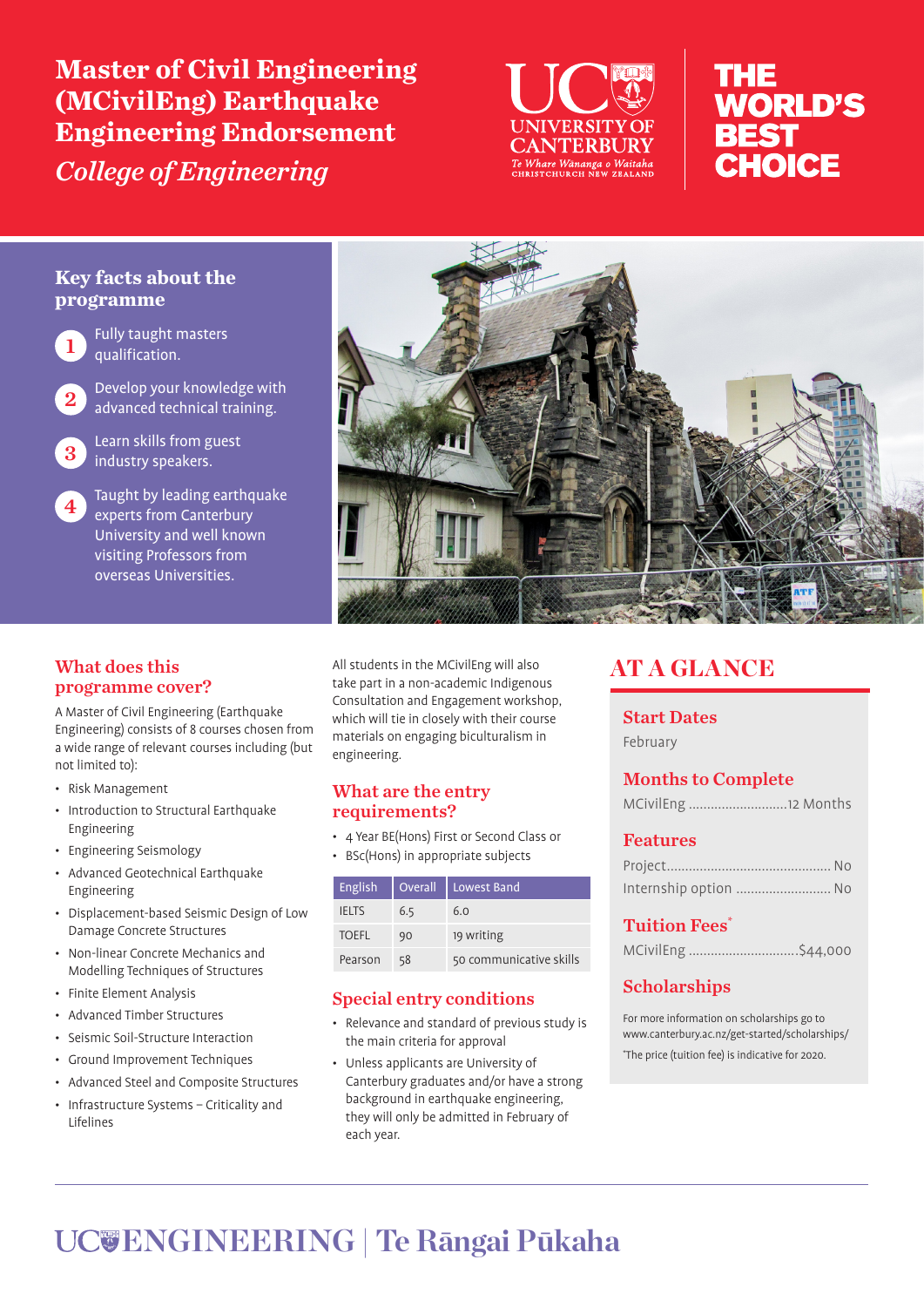**Master of Civil Engineering (MCivilEng) Earthquake Engineering Endorsement** 

*College of Engineering*



# THE **WORLD'S BEST** CHOICE

### **Key facts about the programme**



Fully taught masters qualification.

Develop your knowledge with advanced technical training.

Learn skills from guest industry speakers.

Taught by leading earthquake experts from Canterbury University and well known visiting Professors from overseas Universities.

## What does this programme cover?

A Master of Civil Engineering (Earthquake Engineering) consists of 8 courses chosen from a wide range of relevant courses including (but not limited to):

- Risk Management
- Introduction to Structural Earthquake Engineering
- Engineering Seismology
- Advanced Geotechnical Earthquake Engineering
- Displacement-based Seismic Design of Low Damage Concrete Structures
- Non-linear Concrete Mechanics and Modelling Techniques of Structures
- Finite Element Analysis
- Advanced Timber Structures
- Seismic Soil-Structure Interaction
- Ground Improvement Techniques
- Advanced Steel and Composite Structures
- Infrastructure Systems Criticality and Lifelines



All students in the MCivilEng will also take part in a non-academic Indigenous Consultation and Engagement workshop, which will tie in closely with their course materials on engaging biculturalism in engineering.

### What are the entry requirements?

- 4 Year BE(Hons) First or Second Class or
- BSc(Hons) in appropriate subjects

| English      | Overall | Lowest Band             |
|--------------|---------|-------------------------|
| <b>IELTS</b> | 6.5     | 6.0                     |
| <b>TOEFL</b> | 90      | 19 writing              |
| Pearson      | 58      | 50 communicative skills |

## Special entry conditions

- Relevance and standard of previous study is the main criteria for approval
- Unless applicants are University of Canterbury graduates and/or have a strong background in earthquake engineering, they will only be admitted in February of each year.

## AT A GLANCE

## Start Dates

February

### Months to Complete

## Features

| Internship option  No |  |
|-----------------------|--|

### Tuition Fees\*

| MCivilEng \$44,000 |
|--------------------|
|--------------------|

## Scholarships

For more information on scholarships go to www.canterbury.ac.nz/get-started/scholarships/ \* The price (tuition fee) is indicative for 2020.

# **ENGINEERING | Te Rāngai Pūkaha**